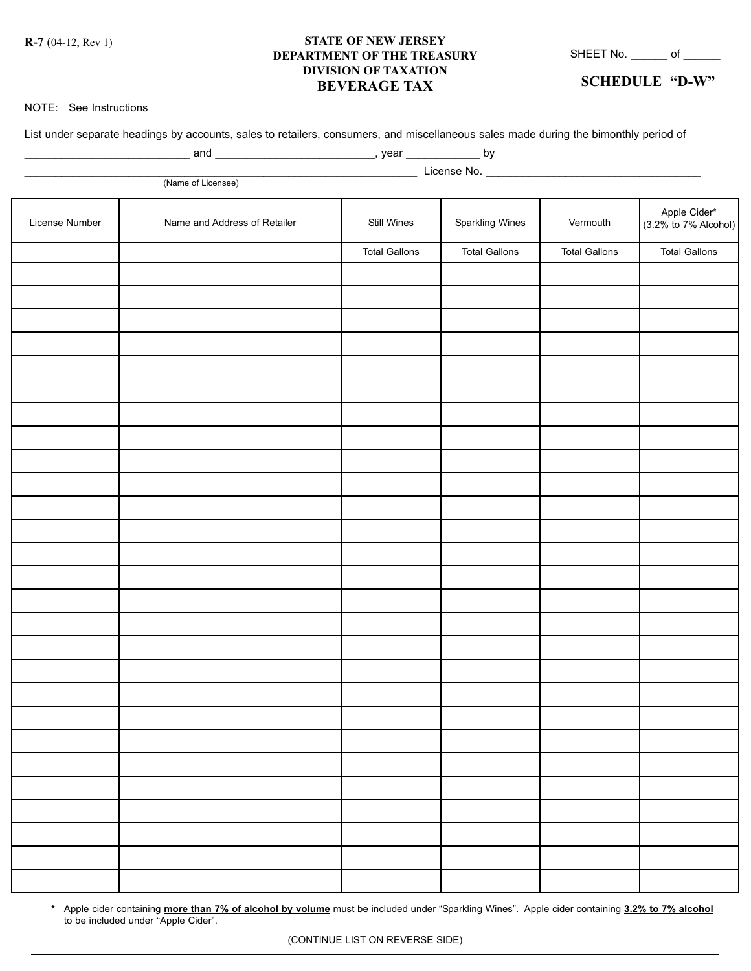**R-7** (04-12, Rev 1)

## **STATE OF NEW JERSEY DEPARTMENT OF THE TREASURY DIVISION OF TAXATION BEVERAGE TAX**

SHEET No. \_\_\_\_\_\_\_ of \_\_\_\_\_\_\_

**SCHEDULE "D-W"**

## NOTE: See Instructions

| List under separate headings by accounts, sales to retailers, consumers, and miscellaneous sales made during the bimonthly period of |                              |                      |                      |                      |                                      |  |  |  |  |
|--------------------------------------------------------------------------------------------------------------------------------------|------------------------------|----------------------|----------------------|----------------------|--------------------------------------|--|--|--|--|
|                                                                                                                                      |                              |                      |                      |                      |                                      |  |  |  |  |
|                                                                                                                                      | (Name of Licensee)           |                      |                      |                      |                                      |  |  |  |  |
| License Number                                                                                                                       | Name and Address of Retailer | Still Wines          | Sparkling Wines      | Vermouth             | Apple Cider*<br>(3.2% to 7% Alcohol) |  |  |  |  |
|                                                                                                                                      |                              | <b>Total Gallons</b> | <b>Total Gallons</b> | <b>Total Gallons</b> | <b>Total Gallons</b>                 |  |  |  |  |
|                                                                                                                                      |                              |                      |                      |                      |                                      |  |  |  |  |
|                                                                                                                                      |                              |                      |                      |                      |                                      |  |  |  |  |
|                                                                                                                                      |                              |                      |                      |                      |                                      |  |  |  |  |
|                                                                                                                                      |                              |                      |                      |                      |                                      |  |  |  |  |
|                                                                                                                                      |                              |                      |                      |                      |                                      |  |  |  |  |
|                                                                                                                                      |                              |                      |                      |                      |                                      |  |  |  |  |
|                                                                                                                                      |                              |                      |                      |                      |                                      |  |  |  |  |
|                                                                                                                                      |                              |                      |                      |                      |                                      |  |  |  |  |
|                                                                                                                                      |                              |                      |                      |                      |                                      |  |  |  |  |
|                                                                                                                                      |                              |                      |                      |                      |                                      |  |  |  |  |
|                                                                                                                                      |                              |                      |                      |                      |                                      |  |  |  |  |
|                                                                                                                                      |                              |                      |                      |                      |                                      |  |  |  |  |
|                                                                                                                                      |                              |                      |                      |                      |                                      |  |  |  |  |
|                                                                                                                                      |                              |                      |                      |                      |                                      |  |  |  |  |
|                                                                                                                                      |                              |                      |                      |                      |                                      |  |  |  |  |
|                                                                                                                                      |                              |                      |                      |                      |                                      |  |  |  |  |
|                                                                                                                                      |                              |                      |                      |                      |                                      |  |  |  |  |
|                                                                                                                                      |                              |                      |                      |                      |                                      |  |  |  |  |
|                                                                                                                                      |                              |                      |                      |                      |                                      |  |  |  |  |
|                                                                                                                                      |                              |                      |                      |                      |                                      |  |  |  |  |
|                                                                                                                                      |                              |                      |                      |                      |                                      |  |  |  |  |
|                                                                                                                                      |                              |                      |                      |                      |                                      |  |  |  |  |

**\*** Apple cider containing **more than 7% of alcohol by volume** must be included under "Sparkling Wines". Apple cider containing **3.2% to 7% alcohol** to be included under "Apple Cider".

(CONTINUE LIST ON REVERSE SIDE)